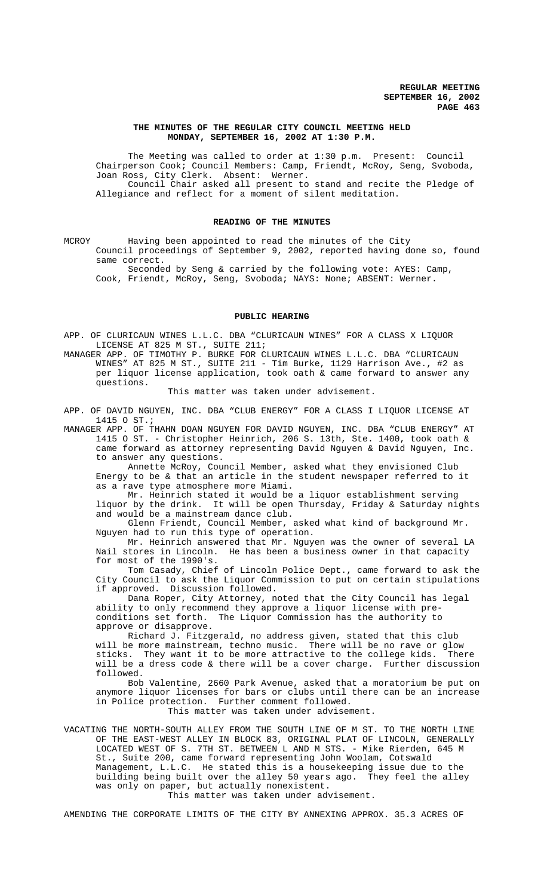## **THE MINUTES OF THE REGULAR CITY COUNCIL MEETING HELD MONDAY, SEPTEMBER 16, 2002 AT 1:30 P.M.**

The Meeting was called to order at 1:30 p.m. Present: Council Chairperson Cook; Council Members: Camp, Friendt, McRoy, Seng, Svoboda, Joan Ross, City Clerk. Absent: Werner. Council Chair asked all present to stand and recite the Pledge of Allegiance and reflect for a moment of silent meditation.

#### **READING OF THE MINUTES**

MCROY Having been appointed to read the minutes of the City Council proceedings of September 9, 2002, reported having done so, found same correct.

Seconded by Seng & carried by the following vote: AYES: Camp, Cook, Friendt, McRoy, Seng, Svoboda; NAYS: None; ABSENT: Werner.

## **PUBLIC HEARING**

APP. OF CLURICAUN WINES L.L.C. DBA "CLURICAUN WINES" FOR A CLASS X LIQUOR LICENSE AT 825 M ST., SUITE 211;

MANAGER APP. OF TIMOTHY P. BURKE FOR CLURICAUN WINES L.L.C. DBA "CLURICAUN WINES" AT 825 M ST., SUITE 211 - Tim Burke, 1129 Harrison Ave., #2 as per liquor license application, took oath & came forward to answer any questions.

This matter was taken under advisement.

APP. OF DAVID NGUYEN, INC. DBA "CLUB ENERGY" FOR A CLASS I LIQUOR LICENSE AT 1415 O ST.;

MANAGER APP. OF THAHN DOAN NGUYEN FOR DAVID NGUYEN, INC. DBA "CLUB ENERGY" AT 1415 O ST. - Christopher Heinrich, 206 S. 13th, Ste. 1400, took oath & came forward as attorney representing David Nguyen & David Nguyen, Inc. to answer any questions.

Annette McRoy, Council Member, asked what they envisioned Club Energy to be  $\&$  that an article in the student newspaper referred to it as a rave type atmosphere more Miami.

Mr. Heinrich stated it would be a liquor establishment serving liquor by the drink. It will be open Thursday, Friday & Saturday nights and would be a mainstream dance club.

Glenn Friendt, Council Member, asked what kind of background Mr. Nguyen had to run this type of operation.

Mr. Heinrich answered that Mr. Nguyen was the owner of several LA Nail stores in Lincoln. He has been a business owner in that capacity for most of the 1990's.

Tom Casady, Chief of Lincoln Police Dept., came forward to ask the City Council to ask the Liquor Commission to put on certain stipulations if approved. Discussion followed.

Dana Roper, City Attorney, noted that the City Council has legal ability to only recommend they approve a liquor license with preconditions set forth. The Liquor Commission has the authority to approve or disapprove.

Richard J. Fitzgerald, no address given, stated that this club will be more mainstream, techno music. There will be no rave or glow<br>sticks They want it to be more attractive to the college kids There sticks. They want it to be more attractive to the college kids. will be a dress code & there will be a cover charge. Further discussion followed.

Bob Valentine, 2660 Park Avenue, asked that a moratorium be put on anymore liquor licenses for bars or clubs until there can be an increase in Police protection. Further comment followed. This matter was taken under advisement.

VACATING THE NORTH-SOUTH ALLEY FROM THE SOUTH LINE OF M ST. TO THE NORTH LINE OF THE EAST-WEST ALLEY IN BLOCK 83, ORIGINAL PLAT OF LINCOLN, GENERALLY LOCATED WEST OF S. 7TH ST. BETWEEN L AND M STS. - Mike Rierden, 645 M St., Suite 200, came forward representing John Woolam, Cotswald Management, L.L.C. He stated this is a housekeeping issue due to the building being built over the alley 50 years ago. They feel the alley was only on paper, but actually nonexistent.

This matter was taken under advisement.

AMENDING THE CORPORATE LIMITS OF THE CITY BY ANNEXING APPROX. 35.3 ACRES OF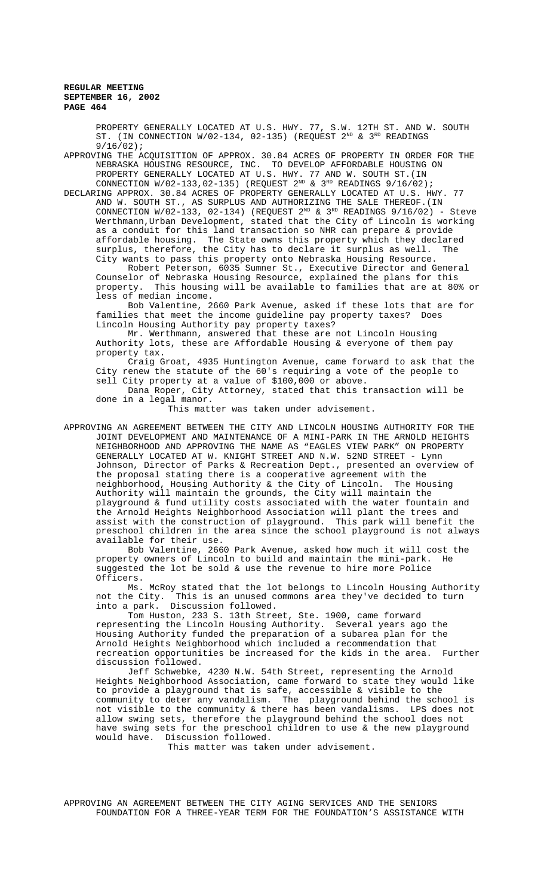PROPERTY GENERALLY LOCATED AT U.S. HWY. 77, S.W. 12TH ST. AND W. SOUTH ST. (IN CONNECTION  $W/02-134$ , 02-135) (REQUEST  $2^{ND}$  &  $3^{RD}$  READINGS 9/16/02);

APPROVING THE ACQUISITION OF APPROX. 30.84 ACRES OF PROPERTY IN ORDER FOR THE NEBRASKA HOUSING RESOURCE, INC. TO DEVELOP AFFORDABLE HOUSING ON PROPERTY GENERALLY LOCATED AT U.S. HWY. 77 AND W. SOUTH ST.(IN CONNECTION  $W/02-133,02-135$  (REQUEST  $2^{ND}$  &  $3^{RD}$  READINGS  $9/16/02$ );

DECLARING APPROX. 30.84 ACRES OF PROPERTY GENERALLY LOCATED AT U.S. HWY. 77 AND W. SOUTH ST., AS SURPLUS AND AUTHORIZING THE SALE THEREOF.(IN CONNECTION W/02-133, 02-134) (REQUEST  $2^{ND}$  &  $3^{RD}$  READINGS 9/16/02) - Steve Werthmann,Urban Development, stated that the City of Lincoln is working as a conduit for this land transaction so NHR can prepare & provide affordable housing. The State owns this property which they declared surplus, therefore, the City has to declare it surplus as well. The City wants to pass this property onto Nebraska Housing Resource.

Robert Peterson, 6035 Sumner St., Executive Director and General Counselor of Nebraska Housing Resource, explained the plans for this property. This housing will be available to families that are at 80% or less of median income.

Bob Valentine, 2660 Park Avenue, asked if these lots that are for families that meet the income guideline pay property taxes? Does Lincoln Housing Authority pay property taxes?

Mr. Werthmann, answered that these are not Lincoln Housing Authority lots, these are Affordable Housing & everyone of them pay property tax.

Craig Groat, 4935 Huntington Avenue, came forward to ask that the City renew the statute of the 60's requiring a vote of the people to sell City property at a value of \$100,000 or above.

Dana Roper, City Attorney, stated that this transaction will be done in a legal manor.

This matter was taken under advisement.

APPROVING AN AGREEMENT BETWEEN THE CITY AND LINCOLN HOUSING AUTHORITY FOR THE JOINT DEVELOPMENT AND MAINTENANCE OF A MINI-PARK IN THE ARNOLD HEIGHTS NEIGHBORHOOD AND APPROVING THE NAME AS "EAGLES VIEW PARK" ON PROPERTY GENERALLY LOCATED AT W. KNIGHT STREET AND N.W. 52ND STREET - Lynn Johnson, Director of Parks & Recreation Dept., presented an overview of the proposal stating there is a cooperative agreement with the neighborhood, Housing Authority & the City of Lincoln. The Housing Authority will maintain the grounds, the City will maintain the playground & fund utility costs associated with the water fountain and the Arnold Heights Neighborhood Association will plant the trees and assist with the construction of playground. This park will benefit the preschool children in the area since the school playground is not always available for their use.

Bob Valentine, 2660 Park Avenue, asked how much it will cost the property owners of Lincoln to build and maintain the mini-park. He suggested the lot be sold & use the revenue to hire more Police Officers.

Ms. McRoy stated that the lot belongs to Lincoln Housing Authority not the City. This is an unused commons area they've decided to turn into a park. Discussion followed.

Tom Huston, 233 S. 13th Street, Ste. 1900, came forward representing the Lincoln Housing Authority. Several years ago the Housing Authority funded the preparation of a subarea plan for the Arnold Heights Neighborhood which included a recommendation that recreation opportunities be increased for the kids in the area. Further discussion followed.

Jeff Schwebke, 4230 N.W. 54th Street, representing the Arnold Heights Neighborhood Association, came forward to state they would like to provide a playground that is safe, accessible & visible to the community to deter any vandalism. The playground behind the school is not visible to the community & there has been vandalisms. LPS does not allow swing sets, therefore the playground behind the school does not have swing sets for the preschool children to use & the new playground would have. Discussion followed.

This matter was taken under advisement.

APPROVING AN AGREEMENT BETWEEN THE CITY AGING SERVICES AND THE SENIORS FOUNDATION FOR A THREE-YEAR TERM FOR THE FOUNDATION'S ASSISTANCE WITH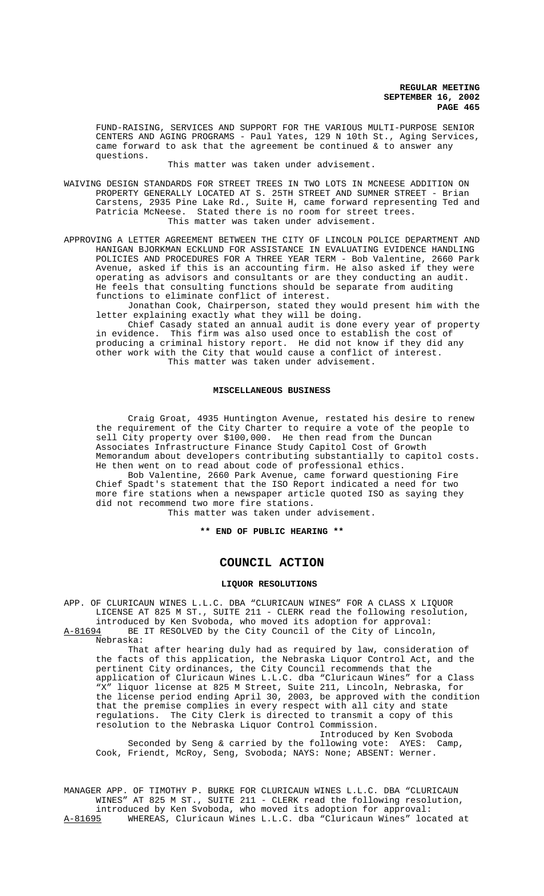FUND-RAISING, SERVICES AND SUPPORT FOR THE VARIOUS MULTI-PURPOSE SENIOR CENTERS AND AGING PROGRAMS - Paul Yates, 129 N 10th St., Aging Services, came forward to ask that the agreement be continued & to answer any questions.

This matter was taken under advisement.

- WAIVING DESIGN STANDARDS FOR STREET TREES IN TWO LOTS IN MCNEESE ADDITION ON PROPERTY GENERALLY LOCATED AT S. 25TH STREET AND SUMNER STREET - Brian Carstens, 2935 Pine Lake Rd., Suite H, came forward representing Ted and Patricia McNeese. Stated there is no room for street trees. This matter was taken under advisement.
- APPROVING A LETTER AGREEMENT BETWEEN THE CITY OF LINCOLN POLICE DEPARTMENT AND HANIGAN BJORKMAN ECKLUND FOR ASSISTANCE IN EVALUATING EVIDENCE HANDLING POLICIES AND PROCEDURES FOR A THREE YEAR TERM - Bob Valentine, 2660 Park Avenue, asked if this is an accounting firm. He also asked if they were operating as advisors and consultants or are they conducting an audit. He feels that consulting functions should be separate from auditing functions to eliminate conflict of interest.

Jonathan Cook, Chairperson, stated they would present him with the letter explaining exactly what they will be doing.

Chief Casady stated an annual audit is done every year of property in evidence. This firm was also used once to establish the cost of producing a criminal history report. He did not know if they did any other work with the City that would cause a conflict of interest. This matter was taken under advisement.

#### **MISCELLANEOUS BUSINESS**

Craig Groat, 4935 Huntington Avenue, restated his desire to renew the requirement of the City Charter to require a vote of the people to sell City property over \$100,000. He then read from the Duncan Associates Infrastructure Finance Study Capitol Cost of Growth Memorandum about developers contributing substantially to capitol costs. He then went on to read about code of professional ethics.

Bob Valentine, 2660 Park Avenue, came forward questioning Fire Chief Spadt's statement that the ISO Report indicated a need for two more fire stations when a newspaper article quoted ISO as saying they did not recommend two more fire stations.

This matter was taken under advisement.

**\*\* END OF PUBLIC HEARING \*\***

# **COUNCIL ACTION**

#### **LIQUOR RESOLUTIONS**

APP. OF CLURICAUN WINES L.L.C. DBA "CLURICAUN WINES" FOR A CLASS X LIQUOR LICENSE AT 825 M ST., SUITE 211 - CLERK read the following resolution, introduced by Ken Svoboda, who moved its adoption for approval:

A-81694 BE IT RESOLVED by the City Council of the City of Lincoln, Nebraska:

That after hearing duly had as required by law, consideration of the facts of this application, the Nebraska Liquor Control Act, and the pertinent City ordinances, the City Council recommends that the application of Cluricaun Wines L.L.C. dba "Cluricaun Wines" for a Class "X" liquor license at 825 M Street, Suite 211, Lincoln, Nebraska, for the license period ending April 30, 2003, be approved with the condition that the premise complies in every respect with all city and state regulations. The City Clerk is directed to transmit a copy of this resolution to the Nebraska Liquor Control Commission.

Introduced by Ken Svoboda Seconded by Seng & carried by the following vote: AYES: Camp, Cook, Friendt, McRoy, Seng, Svoboda; NAYS: None; ABSENT: Werner.

MANAGER APP. OF TIMOTHY P. BURKE FOR CLURICAUN WINES L.L.C. DBA "CLURICAUN WINES" AT 825 M ST., SUITE 211 - CLERK read the following resolution, introduced by Ken Svoboda, who moved its adoption for approval:<br>A-81695 WHEREAS, Cluricaun Wines L.L.C. dba "Cluricaun Wines" loc WHEREAS, Cluricaun Wines L.L.C. dba "Cluricaun Wines" located at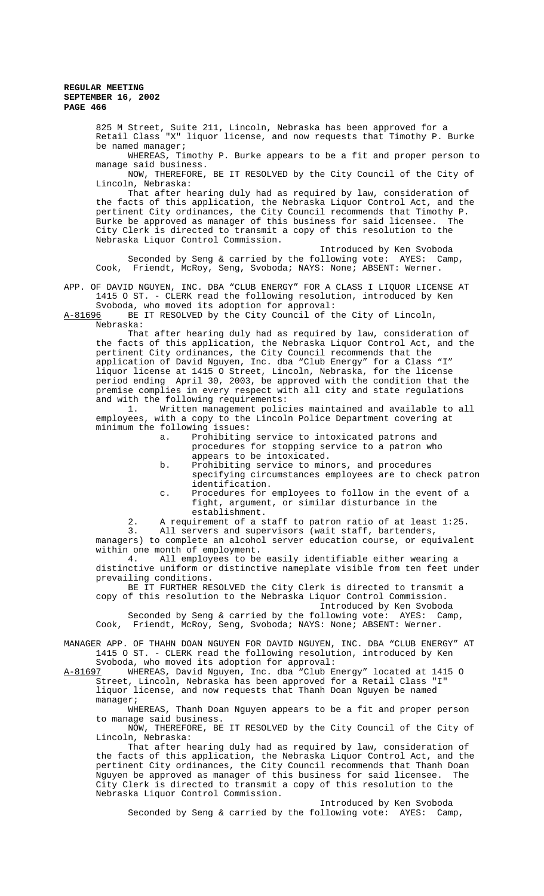825 M Street, Suite 211, Lincoln, Nebraska has been approved for a Retail Class "X" liquor license, and now requests that Timothy P. Burke be named manager;

WHEREAS, Timothy P. Burke appears to be a fit and proper person to manage said business.

NOW, THEREFORE, BE IT RESOLVED by the City Council of the City of Lincoln, Nebraska:

That after hearing duly had as required by law, consideration of the facts of this application, the Nebraska Liquor Control Act, and the pertinent City ordinances, the City Council recommends that Timothy P. Burke be approved as manager of this business for said licensee. The City Clerk is directed to transmit a copy of this resolution to the Nebraska Liquor Control Commission.

Introduced by Ken Svoboda Seconded by Seng & carried by the following vote: AYES: Camp, Cook, Friendt, McRoy, Seng, Svoboda; NAYS: None; ABSENT: Werner.

## APP. OF DAVID NGUYEN, INC. DBA "CLUB ENERGY" FOR A CLASS I LIQUOR LICENSE AT 1415 O ST. - CLERK read the following resolution, introduced by Ken Svoboda, who moved its adoption for approval:

A-81696 BE IT RESOLVED by the City Council of the City of Lincoln, Nebraska:

That after hearing duly had as required by law, consideration of the facts of this application, the Nebraska Liquor Control Act, and the pertinent City ordinances, the City Council recommends that the application of David Nguyen, Inc. dba "Club Energy" for a Class "I" liquor license at 1415 O Street, Lincoln, Nebraska, for the license period ending April 30, 2003, be approved with the condition that the premise complies in every respect with all city and state regulations and with the following requirements:

1. Written management policies maintained and available to all employees, with a copy to the Lincoln Police Department covering at minimum the following issues:

- a. Prohibiting service to intoxicated patrons and procedures for stopping service to a patron who appears to be intoxicated.
- b. Prohibiting service to minors, and procedures
- specifying circumstances employees are to check patron identification.
- c. Procedures for employees to follow in the event of a fight, argument, or similar disturbance in the establishment.

2. A requirement of a staff to patron ratio of at least 1:25. 3. All servers and supervisors (wait staff, bartenders, managers) to complete an alcohol server education course, or equivalent

within one month of employment.<br>4. All employees to be All employees to be easily identifiable either wearing a

distinctive uniform or distinctive nameplate visible from ten feet under prevailing conditions.

BE IT FURTHER RESOLVED the City Clerk is directed to transmit a copy of this resolution to the Nebraska Liquor Control Commission. Introduced by Ken Svoboda

Seconded by Seng & carried by the following vote: AYES: Camp, Cook, Friendt, McRoy, Seng, Svoboda; NAYS: None; ABSENT: Werner.

MANAGER APP. OF THAHN DOAN NGUYEN FOR DAVID NGUYEN, INC. DBA "CLUB ENERGY" AT 1415 O ST. - CLERK read the following resolution, introduced by Ken

Svoboda, who moved its adoption for approval:<br>A-81697 WHEREAS, David Nguyen, Inc. dba "Club E WHEREAS, David Nguyen, Inc. dba "Club Energy" located at 1415 O Street, Lincoln, Nebraska has been approved for a Retail Class "I" liquor license, and now requests that Thanh Doan Nguyen be named manager;

WHEREAS, Thanh Doan Nguyen appears to be a fit and proper person to manage said business.

NOW, THEREFORE, BE IT RESOLVED by the City Council of the City of Lincoln, Nebraska:

That after hearing duly had as required by law, consideration of the facts of this application, the Nebraska Liquor Control Act, and the pertinent City ordinances, the City Council recommends that Thanh Doan Nguyen be approved as manager of this business for said licensee. The City Clerk is directed to transmit a copy of this resolution to the Nebraska Liquor Control Commission.

Introduced by Ken Svoboda Seconded by Seng & carried by the following vote: AYES: Camp,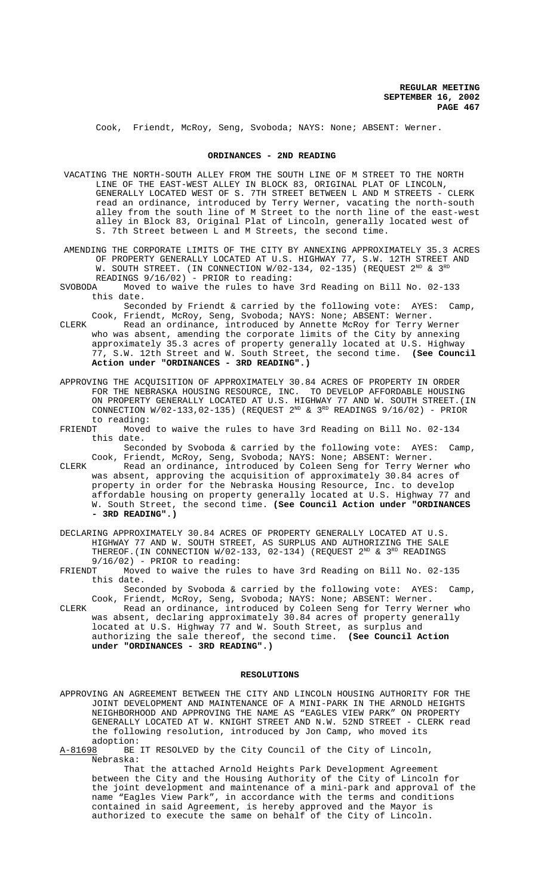Cook, Friendt, McRoy, Seng, Svoboda; NAYS: None; ABSENT: Werner.

#### **ORDINANCES - 2ND READING**

- VACATING THE NORTH-SOUTH ALLEY FROM THE SOUTH LINE OF M STREET TO THE NORTH LINE OF THE EAST-WEST ALLEY IN BLOCK 83, ORIGINAL PLAT OF LINCOLN, GENERALLY LOCATED WEST OF S. 7TH STREET BETWEEN L AND M STREETS - CLERK read an ordinance, introduced by Terry Werner, vacating the north-south alley from the south line of M Street to the north line of the east-west alley in Block 83, Original Plat of Lincoln, generally located west of S. 7th Street between L and M Streets, the second time.
- AMENDING THE CORPORATE LIMITS OF THE CITY BY ANNEXING APPROXIMATELY 35.3 ACRES OF PROPERTY GENERALLY LOCATED AT U.S. HIGHWAY 77, S.W. 12TH STREET AND W. SOUTH STREET. (IN CONNECTION W/02-134, 02-135) (REQUEST  $2^{\text{\tiny{ND}}}$  &  $3^{\text{\tiny{RD}}}$ READINGS 9/16/02) - PRIOR to reading:<br>SVOBODA Moved to waive the rules to have
- Moved to waive the rules to have 3rd Reading on Bill No.  $02-133$ this date.

Seconded by Friendt & carried by the following vote: AYES: Camp, Cook, Friendt, McRoy, Seng, Svoboda; NAYS: None; ABSENT: Werner.

- CLERK Read an ordinance, introduced by Annette McRoy for Terry Werner who was absent, amending the corporate limits of the City by annexing approximately 35.3 acres of property generally located at U.S. Highway 77, S.W. 12th Street and W. South Street, the second time. **(See Council Action under "ORDINANCES - 3RD READING".)**
- APPROVING THE ACQUISITION OF APPROXIMATELY 30.84 ACRES OF PROPERTY IN ORDER FOR THE NEBRASKA HOUSING RESOURCE, INC. TO DEVELOP AFFORDABLE HOUSING ON PROPERTY GENERALLY LOCATED AT U.S. HIGHWAY 77 AND W. SOUTH STREET.(IN CONNECTION  $W/02-133,02-135)$  (REQUEST  $2^{ND}$  &  $3^{RD}$  READINGS  $9/16/02)$  - PRIOR to reading:
- FRIENDT Moved to waive the rules to have 3rd Reading on Bill No. 02-134 this date.

Seconded by Svoboda & carried by the following vote: AYES: Camp, Cook, Friendt, McRoy, Seng, Svoboda; NAYS: None; ABSENT: Werner.

- CLERK Read an ordinance, introduced by Coleen Seng for Terry Werner who was absent, approving the acquisition of approximately 30.84 acres of property in order for the Nebraska Housing Resource, Inc. to develop affordable housing on property generally located at U.S. Highway 77 and W. South Street, the second time. **(See Council Action under "ORDINANCES - 3RD READING".)**
- DECLARING APPROXIMATELY 30.84 ACRES OF PROPERTY GENERALLY LOCATED AT U.S. HIGHWAY 77 AND W. SOUTH STREET, AS SURPLUS AND AUTHORIZING THE SALE THEREOF. (IN CONNECTION  $W/02-133$ , 02-134) (REQUEST  $2^{ND}$  &  $3^{RD}$  READINGS 9/16/02) - PRIOR to reading:<br>FRIENDT Moved to waive the rul
- Moved to waive the rules to have 3rd Reading on Bill No. 02-135 this date.

Seconded by Svoboda & carried by the following vote: AYES: Camp, Cook, Friendt, McRoy, Seng, Svoboda; NAYS: None; ABSENT: Werner.

CLERK Read an ordinance, introduced by Coleen Seng for Terry Werner who was absent, declaring approximately 30.84 acres of property generally located at U.S. Highway 77 and W. South Street, as surplus and authorizing the sale thereof, the second time. **(See Council Action under "ORDINANCES - 3RD READING".)**

## **RESOLUTIONS**

- APPROVING AN AGREEMENT BETWEEN THE CITY AND LINCOLN HOUSING AUTHORITY FOR THE JOINT DEVELOPMENT AND MAINTENANCE OF A MINI-PARK IN THE ARNOLD HEIGHTS NEIGHBORHOOD AND APPROVING THE NAME AS "EAGLES VIEW PARK" ON PROPERTY GENERALLY LOCATED AT W. KNIGHT STREET AND N.W. 52ND STREET - CLERK read the following resolution, introduced by Jon Camp, who moved its adoption:
- A-81698 BE IT RESOLVED by the City Council of the City of Lincoln, Nebraska:

That the attached Arnold Heights Park Development Agreement between the City and the Housing Authority of the City of Lincoln for the joint development and maintenance of a mini-park and approval of the name "Eagles View Park", in accordance with the terms and conditions contained in said Agreement, is hereby approved and the Mayor is authorized to execute the same on behalf of the City of Lincoln.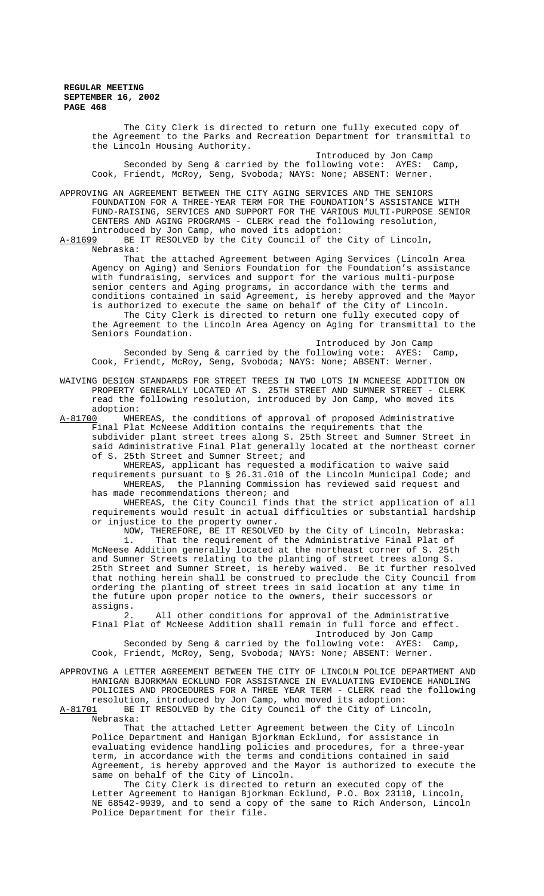> The City Clerk is directed to return one fully executed copy of the Agreement to the Parks and Recreation Department for transmittal to the Lincoln Housing Authority. Introduced by Jon Camp

Seconded by Seng & carried by the following vote: AYES: Camp, Cook, Friendt, McRoy, Seng, Svoboda; NAYS: None; ABSENT: Werner.

APPROVING AN AGREEMENT BETWEEN THE CITY AGING SERVICES AND THE SENIORS FOUNDATION FOR A THREE-YEAR TERM FOR THE FOUNDATION'S ASSISTANCE WITH FUND-RAISING, SERVICES AND SUPPORT FOR THE VARIOUS MULTI-PURPOSE SENIOR CENTERS AND AGING PROGRAMS - CLERK read the following resolution, introduced by Jon Camp, who moved its adoption:

A-81699 BE IT RESOLVED by the City Council of the City of Lincoln, Nebraska:

That the attached Agreement between Aging Services (Lincoln Area Agency on Aging) and Seniors Foundation for the Foundation's assistance with fundraising, services and support for the various multi-purpose senior centers and Aging programs, in accordance with the terms and conditions contained in said Agreement, is hereby approved and the Mayor is authorized to execute the same on behalf of the City of Lincoln.

The City Clerk is directed to return one fully executed copy of the Agreement to the Lincoln Area Agency on Aging for transmittal to the Seniors Foundation.

Introduced by Jon Camp Seconded by Seng & carried by the following vote: AYES: Camp, Cook, Friendt, McRoy, Seng, Svoboda; NAYS: None; ABSENT: Werner.

WAIVING DESIGN STANDARDS FOR STREET TREES IN TWO LOTS IN MCNEESE ADDITION ON PROPERTY GENERALLY LOCATED AT S. 25TH STREET AND SUMNER STREET - CLERK read the following resolution, introduced by Jon Camp, who moved its adoption:<br>A-81700 WHE

WHEREAS, the conditions of approval of proposed Administrative Final Plat McNeese Addition contains the requirements that the subdivider plant street trees along S. 25th Street and Sumner Street in said Administrative Final Plat generally located at the northeast corner of S. 25th Street and Sumner Street; and

WHEREAS, applicant has requested a modification to waive said requirements pursuant to § 26.31.010 of the Lincoln Municipal Code; and WHEREAS, the Planning Commission has reviewed said request and

has made recommendations thereon; and

WHEREAS, the City Council finds that the strict application of all requirements would result in actual difficulties or substantial hardship or injustice to the property owner.

NOW, THEREFORE, BE IT RESOLVED by the City of Lincoln, Nebraska: 1. That the requirement of the Administrative Final Plat of McNeese Addition generally located at the northeast corner of S. 25th and Sumner Streets relating to the planting of street trees along S. 25th Street and Sumner Street, is hereby waived. Be it further resolved that nothing herein shall be construed to preclude the City Council from ordering the planting of street trees in said location at any time in the future upon proper notice to the owners, their successors or assigns.

2. All other conditions for approval of the Administrative Final Plat of McNeese Addition shall remain in full force and effect. Introduced by Jon Camp

Seconded by Seng & carried by the following vote: AYES: Camp, Cook, Friendt, McRoy, Seng, Svoboda; NAYS: None; ABSENT: Werner.

APPROVING A LETTER AGREEMENT BETWEEN THE CITY OF LINCOLN POLICE DEPARTMENT AND HANIGAN BJORKMAN ECKLUND FOR ASSISTANCE IN EVALUATING EVIDENCE HANDLING POLICIES AND PROCEDURES FOR A THREE YEAR TERM - CLERK read the following resolution, introduced by Jon Camp, who moved its adoption:<br>A-81701 BE IT RESOLVED by the City Council of the City of Lin

BE IT RESOLVED by the City Council of the City of Lincoln, Nebraska:

That the attached Letter Agreement between the City of Lincoln Police Department and Hanigan Bjorkman Ecklund, for assistance in evaluating evidence handling policies and procedures, for a three-year term, in accordance with the terms and conditions contained in said Agreement, is hereby approved and the Mayor is authorized to execute the same on behalf of the City of Lincoln.

The City Clerk is directed to return an executed copy of the Letter Agreement to Hanigan Bjorkman Ecklund, P.O. Box 23110, Lincoln, NE 68542-9939, and to send a copy of the same to Rich Anderson, Lincoln Police Department for their file.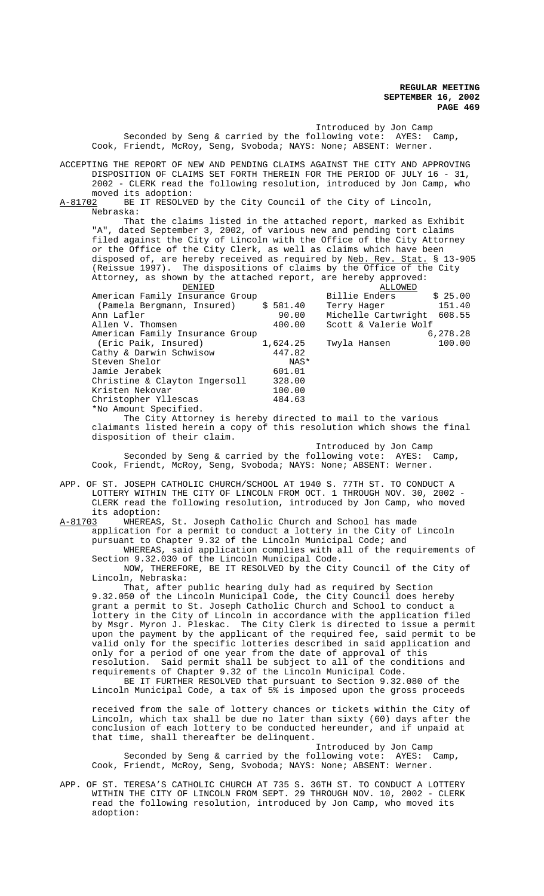Introduced by Jon Camp Seconded by Seng & carried by the following vote: AYES: Camp, Cook, Friendt, McRoy, Seng, Svoboda; NAYS: None; ABSENT: Werner. ACCEPTING THE REPORT OF NEW AND PENDING CLAIMS AGAINST THE CITY AND APPROVING DISPOSITION OF CLAIMS SET FORTH THEREIN FOR THE PERIOD OF JULY 16 - 31, 2002 - CLERK read the following resolution, introduced by Jon Camp, who moved its adoption: A-81702 BE IT RESOLVED by the City Council of the City of Lincoln, Nebraska: That the claims listed in the attached report, marked as Exhibit "A", dated September 3, 2002, of various new and pending tort claims filed against the City of Lincoln with the Office of the City Attorney or the Office of the City Clerk, as well as claims which have been disposed of, are hereby received as required by Neb. Rev. Stat. § 13-905 (Reissue 1997). The dispositions of claims by the Office of the City Attorney, as shown by the attached report, are hereby approved: DENIED ALLOWED American Family Insurance Group<br>
(Pamela Bergmann, Insured) \$ 581.40 Terry Hager 151.40 (Pamela Bergmann, Insured) \$ 581.40 Terry Hager 151.40 Ann Lafler 90.00 Michelle Cartwright 608.55<br>Allen V. Thomsen 400.00 Scott & Valerie Wolf Scott & Valerie Wolf<br>6,278.28 American Family Insurance Group<br>(Eric Paik, Insured) 1,624.25 Twyla Hansen 100.00 (Eric Paik, Insured) 1,624.25<br>athy & Darwin Schwisow 447.82 Cathy & Darwin Schwisow 447.82<br>Steven Shelor NAS\* Steven Shelor NAS<br>
Jamie Jerabek 601.01 Jamie Jerabek Christine & Clayton Ingersoll 328.00 Kristen Nekovar 100.00 Christopher Yllescas 484.63 \*No Amount Specified. The City Attorney is hereby directed to mail to the various claimants listed herein a copy of this resolution which shows the final disposition of their claim. Introduced by Jon Camp Seconded by Seng & carried by the following vote: AYES: Camp, Cook, Friendt, McRoy, Seng, Svoboda; NAYS: None; ABSENT: Werner. APP. OF ST. JOSEPH CATHOLIC CHURCH/SCHOOL AT 1940 S. 77TH ST. TO CONDUCT A LOTTERY WITHIN THE CITY OF LINCOLN FROM OCT. 1 THROUGH NOV. 30, 2002 - CLERK read the following resolution, introduced by Jon Camp, who moved its adoption: A-81703 WHEREAS, St. Joseph Catholic Church and School has made application for a permit to conduct a lottery in the City of Lincoln pursuant to Chapter 9.32 of the Lincoln Municipal Code; and WHEREAS, said application complies with all of the requirements of Section 9.32.030 of the Lincoln Municipal Code. NOW, THEREFORE, BE IT RESOLVED by the City Council of the City of Lincoln, Nebraska: That, after public hearing duly had as required by Section 9.32.050 of the Lincoln Municipal Code, the City Council does hereby grant a permit to St. Joseph Catholic Church and School to conduct a lottery in the City of Lincoln in accordance with the application filed by Msgr. Myron J. Pleskac. The City Clerk is directed to issue a permit upon the payment by the applicant of the required fee, said permit to be valid only for the specific lotteries described in said application and only for a period of one year from the date of approval of this resolution. Said permit shall be subject to all of the conditions and requirements of Chapter 9.32 of the Lincoln Municipal Code. BE IT FURTHER RESOLVED that pursuant to Section 9.32.080 of the Lincoln Municipal Code, a tax of 5% is imposed upon the gross proceeds

received from the sale of lottery chances or tickets within the City of Lincoln, which tax shall be due no later than sixty (60) days after the conclusion of each lottery to be conducted hereunder, and if unpaid at that time, shall thereafter be delinquent.

Introduced by Jon Camp

Seconded by Seng & carried by the following vote: AYES: Camp, Cook, Friendt, McRoy, Seng, Svoboda; NAYS: None; ABSENT: Werner.

APP. OF ST. TERESA'S CATHOLIC CHURCH AT 735 S. 36TH ST. TO CONDUCT A LOTTERY WITHIN THE CITY OF LINCOLN FROM SEPT. 29 THROUGH NOV. 10, 2002 - CLERK read the following resolution, introduced by Jon Camp, who moved its adoption: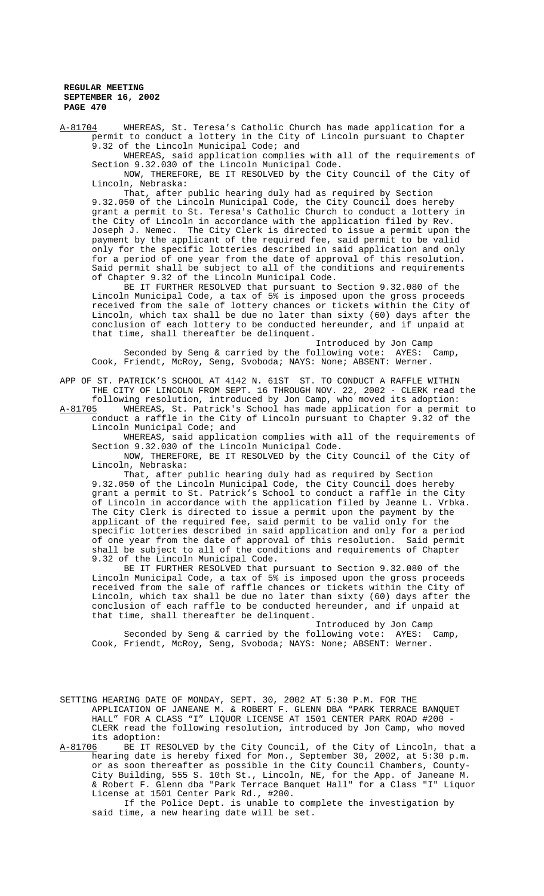A-81704 WHEREAS, St. Teresa's Catholic Church has made application for a permit to conduct a lottery in the City of Lincoln pursuant to Chapter 9.32 of the Lincoln Municipal Code; and

WHEREAS, said application complies with all of the requirements of Section 9.32.030 of the Lincoln Municipal Code.

NOW, THEREFORE, BE IT RESOLVED by the City Council of the City of Lincoln, Nebraska:

That, after public hearing duly had as required by Section 9.32.050 of the Lincoln Municipal Code, the City Council does hereby grant a permit to St. Teresa's Catholic Church to conduct a lottery in the City of Lincoln in accordance with the application filed by Rev. Joseph J. Nemec. The City Clerk is directed to issue a permit upon the payment by the applicant of the required fee, said permit to be valid only for the specific lotteries described in said application and only for a period of one year from the date of approval of this resolution. Said permit shall be subject to all of the conditions and requirements of Chapter 9.32 of the Lincoln Municipal Code.

BE IT FURTHER RESOLVED that pursuant to Section 9.32.080 of the Lincoln Municipal Code, a tax of 5% is imposed upon the gross proceeds received from the sale of lottery chances or tickets within the City of Lincoln, which tax shall be due no later than sixty (60) days after the conclusion of each lottery to be conducted hereunder, and if unpaid at that time, shall thereafter be delinquent.

Introduced by Jon Camp Seconded by Seng & carried by the following vote: AYES: Camp, Cook, Friendt, McRoy, Seng, Svoboda; NAYS: None; ABSENT: Werner.

APP OF ST. PATRICK'S SCHOOL AT 4142 N. 61ST ST. TO CONDUCT A RAFFLE WITHIN THE CITY OF LINCOLN FROM SEPT. 16 THROUGH NOV. 22, 2002 - CLERK read the following resolution, introduced by Jon Camp, who moved its adoption:

A-81705 WHEREAS, St. Patrick's School has made application for a permit to conduct a raffle in the City of Lincoln pursuant to Chapter 9.32 of the Lincoln Municipal Code; and

WHEREAS, said application complies with all of the requirements of Section 9.32.030 of the Lincoln Municipal Code.

NOW, THEREFORE, BE IT RESOLVED by the City Council of the City of Lincoln, Nebraska:

That, after public hearing duly had as required by Section 9.32.050 of the Lincoln Municipal Code, the City Council does hereby grant a permit to St. Patrick's School to conduct a raffle in the City of Lincoln in accordance with the application filed by Jeanne L. Vrbka. The City Clerk is directed to issue a permit upon the payment by the applicant of the required fee, said permit to be valid only for the specific lotteries described in said application and only for a period of one year from the date of approval of this resolution. Said permit shall be subject to all of the conditions and requirements of Chapter 9.32 of the Lincoln Municipal Code.

BE IT FURTHER RESOLVED that pursuant to Section 9.32.080 of the Lincoln Municipal Code, a tax of 5% is imposed upon the gross proceeds received from the sale of raffle chances or tickets within the City of Lincoln, which tax shall be due no later than sixty (60) days after the conclusion of each raffle to be conducted hereunder, and if unpaid at that time, shall thereafter be delinquent.

Introduced by Jon Camp Seconded by Seng & carried by the following vote: AYES: Camp, Cook, Friendt, McRoy, Seng, Svoboda; NAYS: None; ABSENT: Werner.

SETTING HEARING DATE OF MONDAY, SEPT. 30, 2002 AT 5:30 P.M. FOR THE APPLICATION OF JANEANE M. & ROBERT F. GLENN DBA "PARK TERRACE BANQUET HALL" FOR A CLASS "I" LIQUOR LICENSE AT 1501 CENTER PARK ROAD #200 - CLERK read the following resolution, introduced by Jon Camp, who moved its adoption:

A-81706 BE IT RESOLVED by the City Council, of the City of Lincoln, that a hearing date is hereby fixed for Mon., September 30, 2002, at 5:30 p.m. or as soon thereafter as possible in the City Council Chambers, County-City Building, 555 S. 10th St., Lincoln, NE, for the App. of Janeane M. & Robert F. Glenn dba "Park Terrace Banquet Hall" for a Class "I" Liquor License at 1501 Center Park Rd., #200.

If the Police Dept. is unable to complete the investigation by said time, a new hearing date will be set.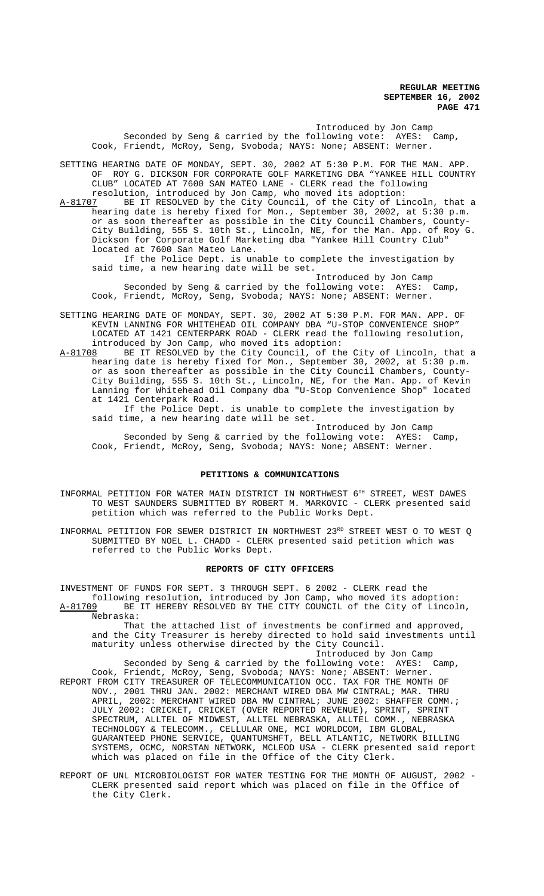Introduced by Jon Camp Seconded by Seng & carried by the following vote: AYES: Camp, Cook, Friendt, McRoy, Seng, Svoboda; NAYS: None; ABSENT: Werner.

SETTING HEARING DATE OF MONDAY, SEPT. 30, 2002 AT 5:30 P.M. FOR THE MAN. APP. OF ROY G. DICKSON FOR CORPORATE GOLF MARKETING DBA "YANKEE HILL COUNTRY CLUB" LOCATED AT 7600 SAN MATEO LANE - CLERK read the following

resolution, introduced by Jon Camp, who moved its adoption:<br>A-81707 BE IT RESOLVED by the City Council, of the City of Li A-81707 BE IT RESOLVED by the City Council, of the City of Lincoln, that a hearing date is hereby fixed for Mon., September 30, 2002, at 5:30 p.m. or as soon thereafter as possible in the City Council Chambers, County-City Building, 555 S. 10th St., Lincoln, NE, for the Man. App. of Roy G. Dickson for Corporate Golf Marketing dba "Yankee Hill Country Club" located at 7600 San Mateo Lane.

If the Police Dept. is unable to complete the investigation by said time, a new hearing date will be set.

Introduced by Jon Camp Seconded by Seng & carried by the following vote: AYES: Camp, Cook, Friendt, McRoy, Seng, Svoboda; NAYS: None; ABSENT: Werner.

SETTING HEARING DATE OF MONDAY, SEPT. 30, 2002 AT 5:30 P.M. FOR MAN. APP. OF KEVIN LANNING FOR WHITEHEAD OIL COMPANY DBA "U-STOP CONVENIENCE SHOP" LOCATED AT 1421 CENTERPARK ROAD - CLERK read the following resolution, introduced by Jon Camp, who moved its adoption:<br>A-81708 BE IT RESOLVED by the City Council, of the

A-81708 BE IT RESOLVED by the City Council, of the City of Lincoln, that a hearing date is hereby fixed for Mon., September 30, 2002, at 5:30 p.m. or as soon thereafter as possible in the City Council Chambers, County-City Building, 555 S. 10th St., Lincoln, NE, for the Man. App. of Kevin Lanning for Whitehead Oil Company dba "U-Stop Convenience Shop" located at 1421 Centerpark Road.

If the Police Dept. is unable to complete the investigation by said time, a new hearing date will be set.

Introduced by Jon Camp Seconded by Seng & carried by the following vote: AYES: Camp, Cook, Friendt, McRoy, Seng, Svoboda; NAYS: None; ABSENT: Werner.

# **PETITIONS & COMMUNICATIONS**

INFORMAL PETITION FOR WATER MAIN DISTRICT IN NORTHWEST 6TH STREET, WEST DAWES TO WEST SAUNDERS SUBMITTED BY ROBERT M. MARKOVIC - CLERK presented said petition which was referred to the Public Works Dept.

INFORMAL PETITION FOR SEWER DISTRICT IN NORTHWEST 23RD STREET WEST O TO WEST Q SUBMITTED BY NOEL L. CHADD - CLERK presented said petition which was referred to the Public Works Dept.

### **REPORTS OF CITY OFFICERS**

INVESTMENT OF FUNDS FOR SEPT. 3 THROUGH SEPT. 6 2002 - CLERK read the following resolution, introduced by Jon Camp, who moved its adoption:

A-81709 BE IT HEREBY RESOLVED BY THE CITY COUNCIL of the City of Lincoln, Nebraska: That the attached list of investments be confirmed and approved,

and the City Treasurer is hereby directed to hold said investments until maturity unless otherwise directed by the City Council. Introduced by Jon Camp

Seconded by Seng & carried by the following vote: AYES: Camp, Cook, Friendt, McRoy, Seng, Svoboda; NAYS: None; ABSENT: Werner. REPORT FROM CITY TREASURER OF TELECOMMUNICATION OCC. TAX FOR THE MONTH OF NOV., 2001 THRU JAN. 2002: MERCHANT WIRED DBA MW CINTRAL; MAR. THRU APRIL, 2002: MERCHANT WIRED DBA MW CINTRAL; JUNE 2002: SHAFFER COMM.; JULY 2002: CRICKET, CRICKET (OVER REPORTED REVENUE), SPRINT, SPRINT SPECTRUM, ALLTEL OF MIDWEST, ALLTEL NEBRASKA, ALLTEL COMM., NEBRASKA TECHNOLOGY & TELECOMM., CELLULAR ONE, MCI WORLDCOM, IBM GLOBAL, GUARANTEED PHONE SERVICE, QUANTUMSHFT, BELL ATLANTIC, NETWORK BILLING SYSTEMS, OCMC, NORSTAN NETWORK, MCLEOD USA - CLERK presented said report which was placed on file in the Office of the City Clerk.

REPORT OF UNL MICROBIOLOGIST FOR WATER TESTING FOR THE MONTH OF AUGUST, 2002 - CLERK presented said report which was placed on file in the Office of the City Clerk.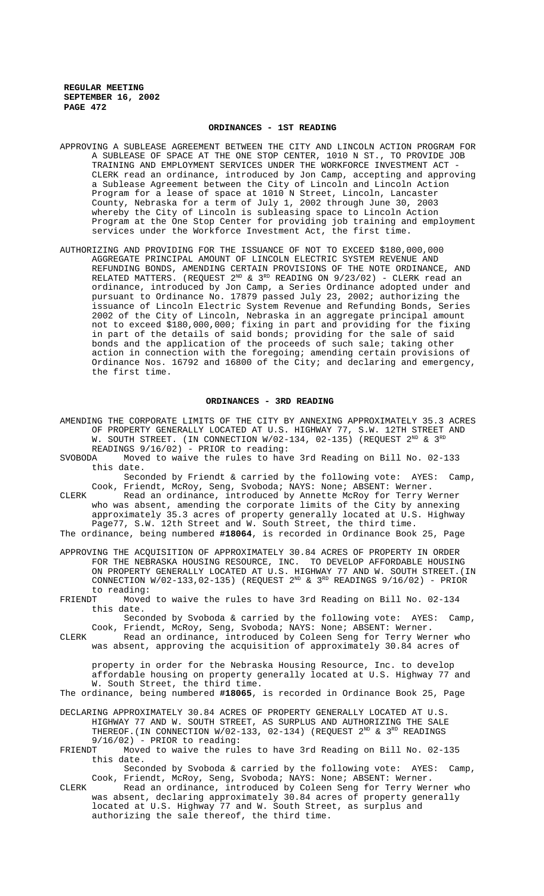### **ORDINANCES - 1ST READING**

- APPROVING A SUBLEASE AGREEMENT BETWEEN THE CITY AND LINCOLN ACTION PROGRAM FOR A SUBLEASE OF SPACE AT THE ONE STOP CENTER, 1010 N ST., TO PROVIDE JOB TRAINING AND EMPLOYMENT SERVICES UNDER THE WORKFORCE INVESTMENT ACT - CLERK read an ordinance, introduced by Jon Camp, accepting and approving a Sublease Agreement between the City of Lincoln and Lincoln Action Program for a lease of space at 1010 N Street, Lincoln, Lancaster County, Nebraska for a term of July 1, 2002 through June 30, 2003 whereby the City of Lincoln is subleasing space to Lincoln Action Program at the One Stop Center for providing job training and employment services under the Workforce Investment Act, the first time.
- AUTHORIZING AND PROVIDING FOR THE ISSUANCE OF NOT TO EXCEED \$180,000,000 AGGREGATE PRINCIPAL AMOUNT OF LINCOLN ELECTRIC SYSTEM REVENUE AND REFUNDING BONDS, AMENDING CERTAIN PROVISIONS OF THE NOTE ORDINANCE, AND RELATED MATTERS. (REQUEST  $2^{ND}$  &  $3^{RD}$  READING ON  $9/23/02$ ) - CLERK read an ordinance, introduced by Jon Camp, a Series Ordinance adopted under and pursuant to Ordinance No. 17879 passed July 23, 2002; authorizing the issuance of Lincoln Electric System Revenue and Refunding Bonds, Series 2002 of the City of Lincoln, Nebraska in an aggregate principal amount not to exceed \$180,000,000; fixing in part and providing for the fixing in part of the details of said bonds; providing for the sale of said bonds and the application of the proceeds of such sale; taking other action in connection with the foregoing; amending certain provisions of Ordinance Nos. 16792 and 16800 of the City; and declaring and emergency, the first time.

#### **ORDINANCES - 3RD READING**

- AMENDING THE CORPORATE LIMITS OF THE CITY BY ANNEXING APPROXIMATELY 35.3 ACRES OF PROPERTY GENERALLY LOCATED AT U.S. HIGHWAY 77, S.W. 12TH STREET AND W. SOUTH STREET. (IN CONNECTION  $W/02-134$ , 02-135) (REQUEST  $2^{ND}$  &  $3^{RD}$
- READINGS 9/16/02) PRIOR to reading: SVOBODA Moved to waive the rules to have 3rd Reading on Bill No. 02-133 this date.

Seconded by Friendt & carried by the following vote: AYES: Camp, Cook, Friendt, McRoy, Seng, Svoboda; NAYS: None; ABSENT: Werner.

CLERK Read an ordinance, introduced by Annette McRoy for Terry Werner who was absent, amending the corporate limits of the City by annexing approximately 35.3 acres of property generally located at U.S. Highway Page77, S.W. 12th Street and W. South Street, the third time.

The ordinance, being numbered **#18064**, is recorded in Ordinance Book 25, Page

APPROVING THE ACQUISITION OF APPROXIMATELY 30.84 ACRES OF PROPERTY IN ORDER FOR THE NEBRASKA HOUSING RESOURCE, INC. TO DEVELOP AFFORDABLE HOUSING ON PROPERTY GENERALLY LOCATED AT U.S. HIGHWAY 77 AND W. SOUTH STREET.(IN CONNECTION  $W/02-133,02-135)$  (REQUEST  $2^{ND}$  &  $3^{RD}$  READINGS  $9/16/02)$  - PRIOR to reading:<br>FRIENDT Moved

Moved to waive the rules to have 3rd Reading on Bill No. 02-134 this date.

Seconded by Svoboda & carried by the following vote: AYES: Camp, Cook, Friendt, McRoy, Seng, Svoboda; NAYS: None; ABSENT: Werner.

CLERK Read an ordinance, introduced by Coleen Seng for Terry Werner who was absent, approving the acquisition of approximately 30.84 acres of

property in order for the Nebraska Housing Resource, Inc. to develop affordable housing on property generally located at U.S. Highway 77 and W. South Street, the third time.

The ordinance, being numbered **#18065**, is recorded in Ordinance Book 25, Page

- DECLARING APPROXIMATELY 30.84 ACRES OF PROPERTY GENERALLY LOCATED AT U.S. HIGHWAY 77 AND W. SOUTH STREET, AS SURPLUS AND AUTHORIZING THE SALE THEREOF. (IN CONNECTION  $W/02-133$ , 02-134) (REQUEST  $2^{ND}$  &  $3^{RD}$  READINGS  $9/16/02$ ) - PRIOR to reading:<br>FRIENDT Moved to waive the rul
- Moved to waive the rules to have 3rd Reading on Bill No. 02-135 this date.

Seconded by Svoboda & carried by the following vote: AYES: Camp, Cook, Friendt, McRoy, Seng, Svoboda; NAYS: None; ABSENT: Werner.

CLERK Read an ordinance, introduced by Coleen Seng for Terry Werner who was absent, declaring approximately 30.84 acres of property generally located at U.S. Highway 77 and W. South Street, as surplus and authorizing the sale thereof, the third time.